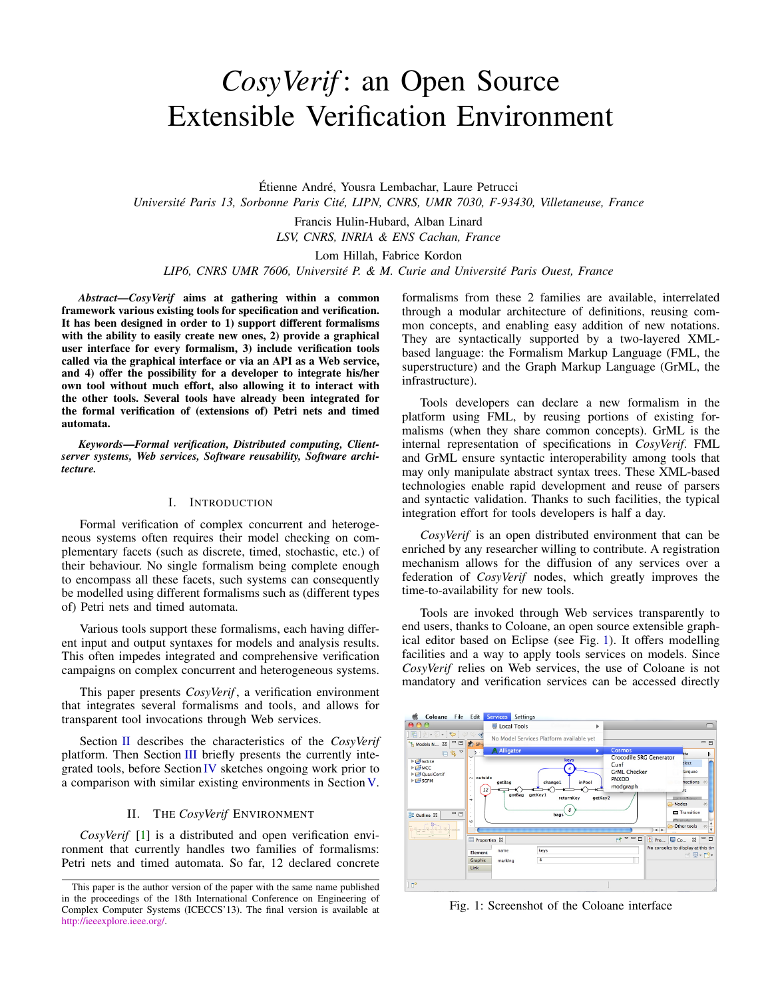# <span id="page-0-2"></span>*CosyVerif* : an Open Source Extensible Verification Environment

Étienne André, Yousra Lembachar, Laure Petrucci *Université Paris 13, Sorbonne Paris Cité, LIPN, CNRS, UMR 7030, F-93430, Villetaneuse, France*

> Francis Hulin-Hubard, Alban Linard *LSV, CNRS, INRIA & ENS Cachan, France*

> > Lom Hillah, Fabrice Kordon

*LIP6, CNRS UMR 7606, Université P. & M. Curie and Université Paris Ouest, France*

*Abstract*—*CosyVerif* aims at gathering within a common framework various existing tools for specification and verification. It has been designed in order to 1) support different formalisms with the ability to easily create new ones, 2) provide a graphical user interface for every formalism, 3) include verification tools called via the graphical interface or via an API as a Web service, and 4) offer the possibility for a developer to integrate his/her own tool without much effort, also allowing it to interact with the other tools. Several tools have already been integrated for the formal verification of (extensions of) Petri nets and timed automata.

*Keywords*—*Formal verification, Distributed computing, Clientserver systems, Web services, Software reusability, Software architecture.*

#### I. INTRODUCTION

Formal verification of complex concurrent and heterogeneous systems often requires their model checking on complementary facets (such as discrete, timed, stochastic, etc.) of their behaviour. No single formalism being complete enough to encompass all these facets, such systems can consequently be modelled using different formalisms such as (different types of) Petri nets and timed automata.

Various tools support these formalisms, each having different input and output syntaxes for models and analysis results. This often impedes integrated and comprehensive verification campaigns on complex concurrent and heterogeneous systems.

This paper presents *CosyVerif* , a verification environment that integrates several formalisms and tools, and allows for transparent tool invocations through Web services.

Section [II](#page-0-0) describes the characteristics of the *CosyVerif* platform. Then Section [III](#page-1-0) briefly presents the currently integrated tools, before Section [IV](#page-2-0) sketches ongoing work prior to a comparison with similar existing environments in Section [V.](#page-2-1)

# II. THE *CosyVerif* ENVIRONMENT

<span id="page-0-0"></span>*CosyVerif* [\[1\]](#page-3-0) is a distributed and open verification environment that currently handles two families of formalisms: Petri nets and timed automata. So far, 12 declared concrete formalisms from these 2 families are available, interrelated through a modular architecture of definitions, reusing common concepts, and enabling easy addition of new notations. They are syntactically supported by a two-layered XMLbased language: the Formalism Markup Language (FML, the superstructure) and the Graph Markup Language (GrML, the infrastructure).

Tools developers can declare a new formalism in the platform using FML, by reusing portions of existing formalisms (when they share common concepts). GrML is the internal representation of specifications in *CosyVerif*. FML and GrML ensure syntactic interoperability among tools that may only manipulate abstract syntax trees. These XML-based technologies enable rapid development and reuse of parsers and syntactic validation. Thanks to such facilities, the typical integration effort for tools developers is half a day.

*CosyVerif* is an open distributed environment that can be enriched by any researcher willing to contribute. A registration mechanism allows for the diffusion of any services over a federation of *CosyVerif* nodes, which greatly improves the time-to-availability for new tools.

Tools are invoked through Web services transparently to end users, thanks to Coloane, an open source extensible graphical editor based on Eclipse (see Fig. [1\)](#page-0-1). It offers modelling facilities and a way to apply tools services on models. Since *CosyVerif* relies on Web services, the use of Coloane is not mandatory and verification services can be accessed directly

<span id="page-0-1"></span>

Fig. 1: Screenshot of the Coloane interface

This paper is the author version of the paper with the same name published in the proceedings of the 18th International Conference on Engineering of Complex Computer Systems (ICECCS'13). The final version is available at [http://ieeexplore.ieee.org/.](http://ieeexplore.ieee.org/)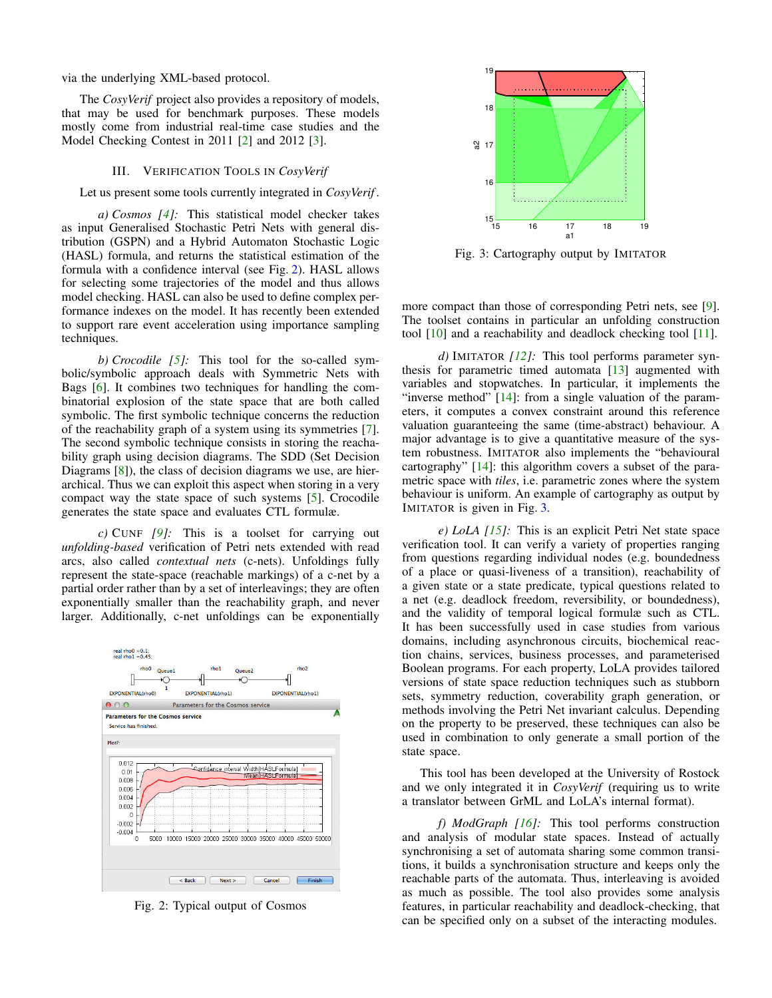<span id="page-1-3"></span>via the underlying XML-based protocol.

The *CosyVerif* project also provides a repository of models, that may be used for benchmark purposes. These models mostly come from industrial real-time case studies and the Model Checking Contest in 2011 [\[2\]](#page-3-1) and 2012 [\[3\]](#page-3-2).

#### III. VERIFICATION TOOLS IN *CosyVerif*

<span id="page-1-0"></span>Let us present some tools currently integrated in *CosyVerif* .

*a) Cosmos [\[4\]](#page-3-3):* This statistical model checker takes as input Generalised Stochastic Petri Nets with general distribution (GSPN) and a Hybrid Automaton Stochastic Logic (HASL) formula, and returns the statistical estimation of the formula with a confidence interval (see Fig. [2\)](#page-1-1). HASL allows for selecting some trajectories of the model and thus allows model checking. HASL can also be used to define complex performance indexes on the model. It has recently been extended to support rare event acceleration using importance sampling techniques.

*b) Crocodile [\[5\]](#page-3-4):* This tool for the so-called symbolic/symbolic approach deals with Symmetric Nets with Bags [\[6\]](#page-3-5). It combines two techniques for handling the combinatorial explosion of the state space that are both called symbolic. The first symbolic technique concerns the reduction of the reachability graph of a system using its symmetries [\[7\]](#page-3-6). The second symbolic technique consists in storing the reachability graph using decision diagrams. The SDD (Set Decision Diagrams [\[8\]](#page-3-7)), the class of decision diagrams we use, are hierarchical. Thus we can exploit this aspect when storing in a very compact way the state space of such systems [\[5\]](#page-3-4). Crocodile generates the state space and evaluates CTL formulæ.

*c)* CUNF *[\[9\]](#page-3-8):* This is a toolset for carrying out *unfolding-based* verification of Petri nets extended with read arcs, also called *contextual nets* (c-nets). Unfoldings fully represent the state-space (reachable markings) of a c-net by a partial order rather than by a set of interleavings; they are often exponentially smaller than the reachability graph, and never larger. Additionally, c-net unfoldings can be exponentially

<span id="page-1-1"></span>

Fig. 2: Typical output of Cosmos

<span id="page-1-2"></span>

Fig. 3: Cartography output by IMITATOR

more compact than those of corresponding Petri nets, see [\[9\]](#page-3-8). The toolset contains in particular an unfolding construction tool [\[10\]](#page-3-9) and a reachability and deadlock checking tool [\[11\]](#page-3-10).

*d)* IMITATOR *[\[12\]](#page-3-11):* This tool performs parameter synthesis for parametric timed automata [\[13\]](#page-3-12) augmented with variables and stopwatches. In particular, it implements the "inverse method" [\[14\]](#page-3-13): from a single valuation of the parameters, it computes a convex constraint around this reference valuation guaranteeing the same (time-abstract) behaviour. A major advantage is to give a quantitative measure of the system robustness. IMITATOR also implements the "behavioural cartography" [\[14\]](#page-3-13): this algorithm covers a subset of the parametric space with *tiles*, i.e. parametric zones where the system behaviour is uniform. An example of cartography as output by IMITATOR is given in Fig. [3.](#page-1-2)

*e) LoLA [\[15\]](#page-3-14):* This is an explicit Petri Net state space verification tool. It can verify a variety of properties ranging from questions regarding individual nodes (e.g. boundedness of a place or quasi-liveness of a transition), reachability of a given state or a state predicate, typical questions related to a net (e.g. deadlock freedom, reversibility, or boundedness), and the validity of temporal logical formulæ such as CTL. It has been successfully used in case studies from various domains, including asynchronous circuits, biochemical reaction chains, services, business processes, and parameterised Boolean programs. For each property, LoLA provides tailored versions of state space reduction techniques such as stubborn sets, symmetry reduction, coverability graph generation, or methods involving the Petri Net invariant calculus. Depending on the property to be preserved, these techniques can also be used in combination to only generate a small portion of the state space.

This tool has been developed at the University of Rostock and we only integrated it in *CosyVerif* (requiring us to write a translator between GrML and LoLA's internal format).

*f) ModGraph [\[16\]](#page-3-15):* This tool performs construction and analysis of modular state spaces. Instead of actually synchronising a set of automata sharing some common transitions, it builds a synchronisation structure and keeps only the reachable parts of the automata. Thus, interleaving is avoided as much as possible. The tool also provides some analysis features, in particular reachability and deadlock-checking, that can be specified only on a subset of the interacting modules.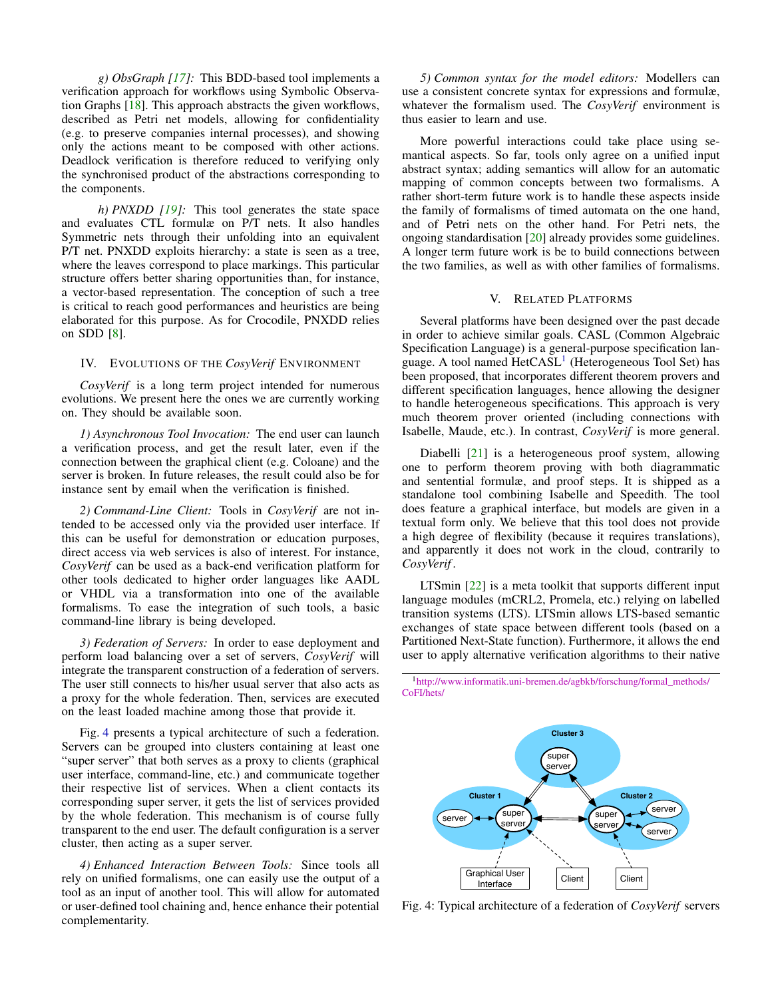<span id="page-2-4"></span>*g) ObsGraph [\[17\]](#page-3-16):* This BDD-based tool implements a verification approach for workflows using Symbolic Observation Graphs [\[18\]](#page-3-17). This approach abstracts the given workflows, described as Petri net models, allowing for confidentiality (e.g. to preserve companies internal processes), and showing only the actions meant to be composed with other actions. Deadlock verification is therefore reduced to verifying only the synchronised product of the abstractions corresponding to the components.

*h) PNXDD [\[19\]](#page-3-18):* This tool generates the state space and evaluates CTL formulæ on P/T nets. It also handles Symmetric nets through their unfolding into an equivalent P/T net. PNXDD exploits hierarchy: a state is seen as a tree, where the leaves correspond to place markings. This particular structure offers better sharing opportunities than, for instance, a vector-based representation. The conception of such a tree is critical to reach good performances and heuristics are being elaborated for this purpose. As for Crocodile, PNXDD relies on SDD [\[8\]](#page-3-7).

### <span id="page-2-0"></span>IV. EVOLUTIONS OF THE *CosyVerif* ENVIRONMENT

*CosyVerif* is a long term project intended for numerous evolutions. We present here the ones we are currently working on. They should be available soon.

*1) Asynchronous Tool Invocation:* The end user can launch a verification process, and get the result later, even if the connection between the graphical client (e.g. Coloane) and the server is broken. In future releases, the result could also be for instance sent by email when the verification is finished.

*2) Command-Line Client:* Tools in *CosyVerif* are not intended to be accessed only via the provided user interface. If this can be useful for demonstration or education purposes, direct access via web services is also of interest. For instance, *CosyVerif* can be used as a back-end verification platform for other tools dedicated to higher order languages like AADL or VHDL via a transformation into one of the available formalisms. To ease the integration of such tools, a basic command-line library is being developed.

*3) Federation of Servers:* In order to ease deployment and perform load balancing over a set of servers, *CosyVerif* will integrate the transparent construction of a federation of servers. The user still connects to his/her usual server that also acts as a proxy for the whole federation. Then, services are executed on the least loaded machine among those that provide it.

Fig. [4](#page-2-2) presents a typical architecture of such a federation. Servers can be grouped into clusters containing at least one "super server" that both serves as a proxy to clients (graphical user interface, command-line, etc.) and communicate together their respective list of services. When a client contacts its corresponding super server, it gets the list of services provided by the whole federation. This mechanism is of course fully transparent to the end user. The default configuration is a server cluster, then acting as a super server.

*4) Enhanced Interaction Between Tools:* Since tools all rely on unified formalisms, one can easily use the output of a tool as an input of another tool. This will allow for automated or user-defined tool chaining and, hence enhance their potential complementarity.

*5) Common syntax for the model editors:* Modellers can use a consistent concrete syntax for expressions and formulæ, whatever the formalism used. The *CosyVerif* environment is thus easier to learn and use.

More powerful interactions could take place using semantical aspects. So far, tools only agree on a unified input abstract syntax; adding semantics will allow for an automatic mapping of common concepts between two formalisms. A rather short-term future work is to handle these aspects inside the family of formalisms of timed automata on the one hand, and of Petri nets on the other hand. For Petri nets, the ongoing standardisation [\[20\]](#page-3-19) already provides some guidelines. A longer term future work is be to build connections between the two families, as well as with other families of formalisms.

# V. RELATED PLATFORMS

<span id="page-2-1"></span>Several platforms have been designed over the past decade in order to achieve similar goals. CASL (Common Algebraic Specification Language) is a general-purpose specification lan-guage. A tool named HetCASL<sup>[1](#page-2-3)</sup> (Heterogeneous Tool Set) has been proposed, that incorporates different theorem provers and different specification languages, hence allowing the designer to handle heterogeneous specifications. This approach is very much theorem prover oriented (including connections with Isabelle, Maude, etc.). In contrast, *CosyVerif* is more general.

Diabelli [\[21\]](#page-3-20) is a heterogeneous proof system, allowing one to perform theorem proving with both diagrammatic and sentential formulæ, and proof steps. It is shipped as a standalone tool combining Isabelle and Speedith. The tool does feature a graphical interface, but models are given in a textual form only. We believe that this tool does not provide a high degree of flexibility (because it requires translations), and apparently it does not work in the cloud, contrarily to *CosyVerif* .

LTSmin [\[22\]](#page-3-21) is a meta toolkit that supports different input language modules (mCRL2, Promela, etc.) relying on labelled transition systems (LTS). LTSmin allows LTS-based semantic exchanges of state space between different tools (based on a Partitioned Next-State function). Furthermore, it allows the end user to apply alternative verification algorithms to their native

<span id="page-2-3"></span><sup>1</sup>[http://www.informatik.uni-bremen.de/agbkb/forschung/formal\\_methods/](http://www.informatik.uni-bremen.de/agbkb/forschung/formal_methods/CoFI/hets/) [CoFI/hets/](http://www.informatik.uni-bremen.de/agbkb/forschung/formal_methods/CoFI/hets/)

<span id="page-2-2"></span>

Fig. 4: Typical architecture of a federation of *CosyVerif* servers